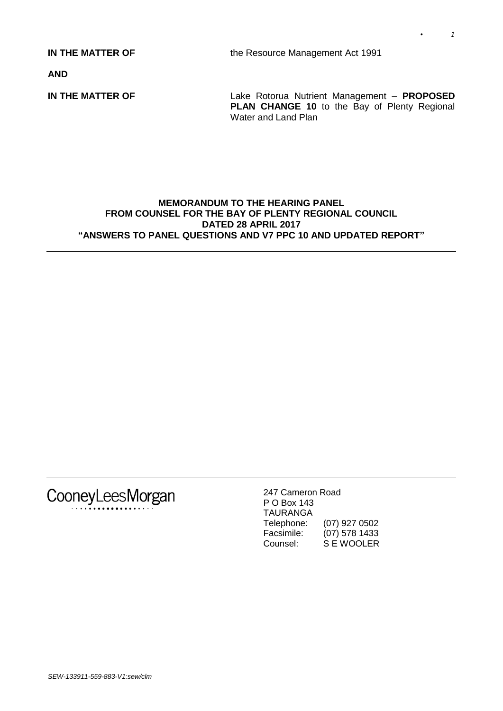**IN THE MATTER OF** the Resource Management Act 1991

**AND**

**IN THE MATTER OF** Lake Rotorua Nutrient Management – **PROPOSED PLAN CHANGE 10** to the Bay of Plenty Regional Water and Land Plan

### **MEMORANDUM TO THE HEARING PANEL FROM COUNSEL FOR THE BAY OF PLENTY REGIONAL COUNCIL DATED 28 APRIL 2017 "ANSWERS TO PANEL QUESTIONS AND V7 PPC 10 AND UPDATED REPORT"**



247 Cameron Road P O Box 143 TAURANGA Telephone: (07) 927 0502 Facsimile: (07) 578 1433 Counsel: S E WOOLER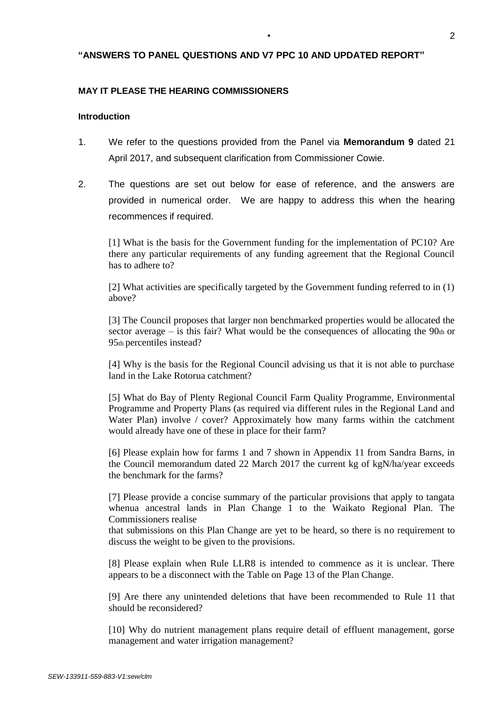## **"ANSWERS TO PANEL QUESTIONS AND V7 PPC 10 AND UPDATED REPORT"**

### **MAY IT PLEASE THE HEARING COMMISSIONERS**

### **Introduction**

- 1. We refer to the questions provided from the Panel via **Memorandum 9** dated 21 April 2017, and subsequent clarification from Commissioner Cowie.
- 2. The questions are set out below for ease of reference, and the answers are provided in numerical order. We are happy to address this when the hearing recommences if required.

[1] What is the basis for the Government funding for the implementation of PC10? Are there any particular requirements of any funding agreement that the Regional Council has to adhere to?

[2] What activities are specifically targeted by the Government funding referred to in (1) above?

[3] The Council proposes that larger non benchmarked properties would be allocated the sector average – is this fair? What would be the consequences of allocating the  $90<sub>th</sub>$  or 95th percentiles instead?

[4] Why is the basis for the Regional Council advising us that it is not able to purchase land in the Lake Rotorua catchment?

[5] What do Bay of Plenty Regional Council Farm Quality Programme, Environmental Programme and Property Plans (as required via different rules in the Regional Land and Water Plan) involve / cover? Approximately how many farms within the catchment would already have one of these in place for their farm?

[6] Please explain how for farms 1 and 7 shown in Appendix 11 from Sandra Barns, in the Council memorandum dated 22 March 2017 the current kg of kgN/ha/year exceeds the benchmark for the farms?

[7] Please provide a concise summary of the particular provisions that apply to tangata whenua ancestral lands in Plan Change 1 to the Waikato Regional Plan. The Commissioners realise

that submissions on this Plan Change are yet to be heard, so there is no requirement to discuss the weight to be given to the provisions.

[8] Please explain when Rule LLR8 is intended to commence as it is unclear. There appears to be a disconnect with the Table on Page 13 of the Plan Change.

[9] Are there any unintended deletions that have been recommended to Rule 11 that should be reconsidered?

[10] Why do nutrient management plans require detail of effluent management, gorse management and water irrigation management?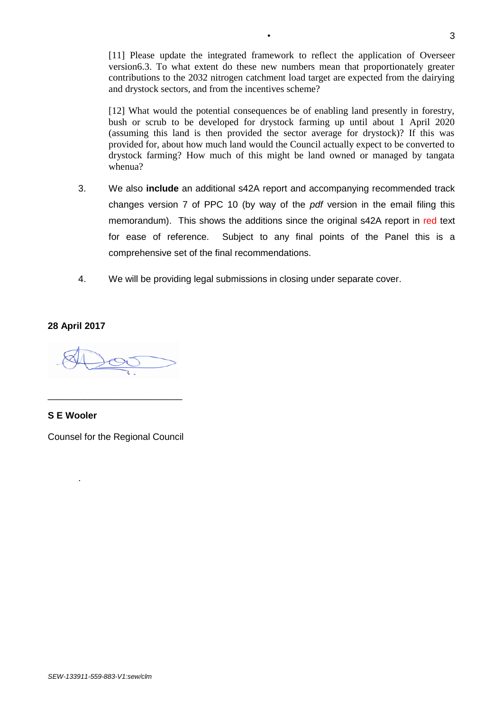[11] Please update the integrated framework to reflect the application of Overseer version6.3. To what extent do these new numbers mean that proportionately greater contributions to the 2032 nitrogen catchment load target are expected from the dairying and drystock sectors, and from the incentives scheme?

[12] What would the potential consequences be of enabling land presently in forestry, bush or scrub to be developed for drystock farming up until about 1 April 2020 (assuming this land is then provided the sector average for drystock)? If this was provided for, about how much land would the Council actually expect to be converted to drystock farming? How much of this might be land owned or managed by tangata whenua?

- 3. We also **include** an additional s42A report and accompanying recommended track changes version 7 of PPC 10 (by way of the *pdf* version in the email filing this memorandum). This shows the additions since the original s42A report in red text for ease of reference. Subject to any final points of the Panel this is a comprehensive set of the final recommendations.
- 4. We will be providing legal submissions in closing under separate cover.

### **28 April 2017**

# **S E Wooler**

.

Counsel for the Regional Council

\_\_\_\_\_\_\_\_\_\_\_\_\_\_\_\_\_\_\_\_\_\_\_\_\_\_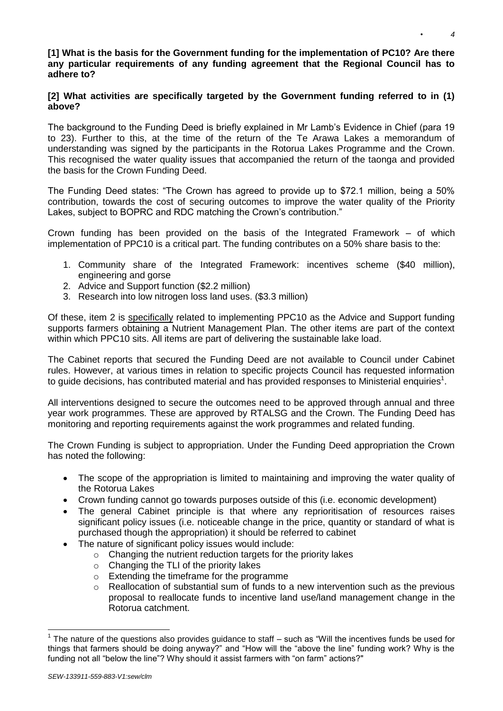## **[1] What is the basis for the Government funding for the implementation of PC10? Are there any particular requirements of any funding agreement that the Regional Council has to adhere to?**

# **[2] What activities are specifically targeted by the Government funding referred to in (1) above?**

The background to the Funding Deed is briefly explained in Mr Lamb's Evidence in Chief (para 19 to 23). Further to this, at the time of the return of the Te Arawa Lakes a memorandum of understanding was signed by the participants in the Rotorua Lakes Programme and the Crown. This recognised the water quality issues that accompanied the return of the taonga and provided the basis for the Crown Funding Deed.

The Funding Deed states: "The Crown has agreed to provide up to \$72.1 million, being a 50% contribution, towards the cost of securing outcomes to improve the water quality of the Priority Lakes, subject to BOPRC and RDC matching the Crown's contribution."

Crown funding has been provided on the basis of the Integrated Framework – of which implementation of PPC10 is a critical part. The funding contributes on a 50% share basis to the:

- 1. Community share of the Integrated Framework: incentives scheme (\$40 million), engineering and gorse
- 2. Advice and Support function (\$2.2 million)
- 3. Research into low nitrogen loss land uses. (\$3.3 million)

Of these, item 2 is specifically related to implementing PPC10 as the Advice and Support funding supports farmers obtaining a Nutrient Management Plan. The other items are part of the context within which PPC10 sits. All items are part of delivering the sustainable lake load.

The Cabinet reports that secured the Funding Deed are not available to Council under Cabinet rules. However, at various times in relation to specific projects Council has requested information to guide decisions, has contributed material and has provided responses to Ministerial enquiries<sup>1</sup>.

All interventions designed to secure the outcomes need to be approved through annual and three year work programmes. These are approved by RTALSG and the Crown. The Funding Deed has monitoring and reporting requirements against the work programmes and related funding.

The Crown Funding is subject to appropriation. Under the Funding Deed appropriation the Crown has noted the following:

- The scope of the appropriation is limited to maintaining and improving the water quality of the Rotorua Lakes
- Crown funding cannot go towards purposes outside of this (i.e. economic development)
- The general Cabinet principle is that where any reprioritisation of resources raises significant policy issues (i.e. noticeable change in the price, quantity or standard of what is purchased though the appropriation) it should be referred to cabinet
- The nature of significant policy issues would include:
	- o Changing the nutrient reduction targets for the priority lakes
	- o Changing the TLI of the priority lakes
	- o Extending the timeframe for the programme
	- $\circ$  Reallocation of substantial sum of funds to a new intervention such as the previous proposal to reallocate funds to incentive land use/land management change in the Rotorua catchment.

-

 $1$  The nature of the questions also provides guidance to staff  $-$  such as "Will the incentives funds be used for things that farmers should be doing anyway?" and "How will the "above the line" funding work? Why is the funding not all "below the line"? Why should it assist farmers with "on farm" actions?"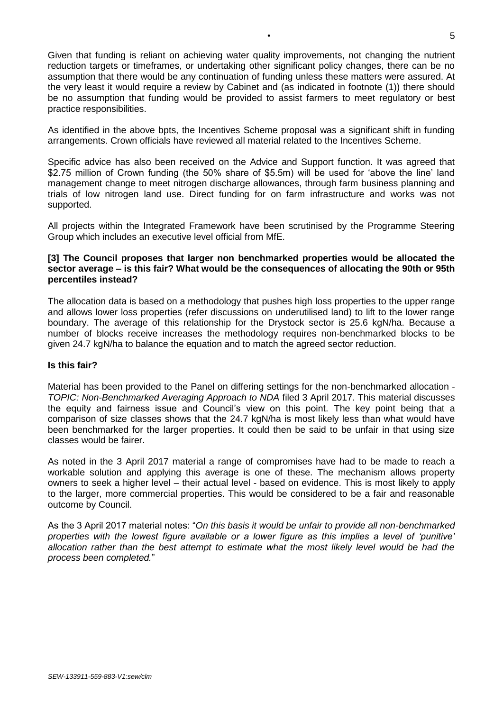Given that funding is reliant on achieving water quality improvements, not changing the nutrient reduction targets or timeframes, or undertaking other significant policy changes, there can be no assumption that there would be any continuation of funding unless these matters were assured. At the very least it would require a review by Cabinet and (as indicated in footnote (1)) there should be no assumption that funding would be provided to assist farmers to meet regulatory or best practice responsibilities.

As identified in the above bpts, the Incentives Scheme proposal was a significant shift in funding arrangements. Crown officials have reviewed all material related to the Incentives Scheme.

Specific advice has also been received on the Advice and Support function. It was agreed that \$2.75 million of Crown funding (the 50% share of \$5.5m) will be used for 'above the line' land management change to meet nitrogen discharge allowances, through farm business planning and trials of low nitrogen land use. Direct funding for on farm infrastructure and works was not supported.

All projects within the Integrated Framework have been scrutinised by the Programme Steering Group which includes an executive level official from MfE.

### **[3] The Council proposes that larger non benchmarked properties would be allocated the sector average – is this fair? What would be the consequences of allocating the 90th or 95th percentiles instead?**

The allocation data is based on a methodology that pushes high loss properties to the upper range and allows lower loss properties (refer discussions on underutilised land) to lift to the lower range boundary. The average of this relationship for the Drystock sector is 25.6 kgN/ha. Because a number of blocks receive increases the methodology requires non-benchmarked blocks to be given 24.7 kgN/ha to balance the equation and to match the agreed sector reduction.

### **Is this fair?**

Material has been provided to the Panel on differing settings for the non-benchmarked allocation - *TOPIC: Non-Benchmarked Averaging Approach to NDA* filed 3 April 2017. This material discusses the equity and fairness issue and Council's view on this point. The key point being that a comparison of size classes shows that the 24.7 kgN/ha is most likely less than what would have been benchmarked for the larger properties. It could then be said to be unfair in that using size classes would be fairer.

As noted in the 3 April 2017 material a range of compromises have had to be made to reach a workable solution and applying this average is one of these. The mechanism allows property owners to seek a higher level – their actual level - based on evidence. This is most likely to apply to the larger, more commercial properties. This would be considered to be a fair and reasonable outcome by Council.

As the 3 April 2017 material notes: "*On this basis it would be unfair to provide all non-benchmarked properties with the lowest figure available or a lower figure as this implies a level of 'punitive' allocation rather than the best attempt to estimate what the most likely level would be had the process been completed.*"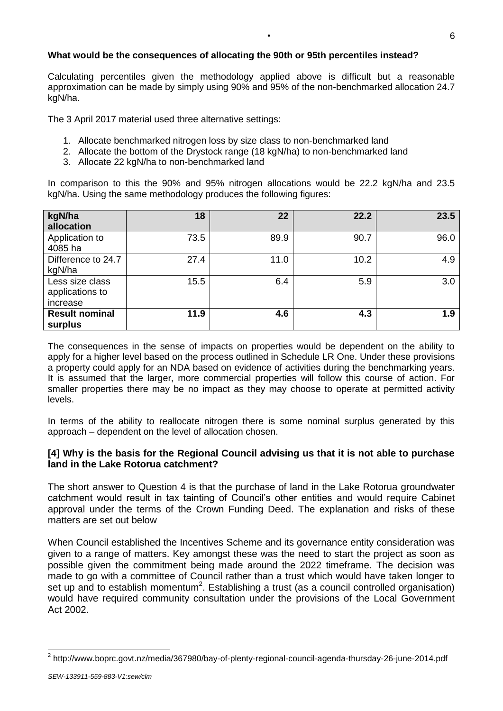# **What would be the consequences of allocating the 90th or 95th percentiles instead?**

Calculating percentiles given the methodology applied above is difficult but a reasonable approximation can be made by simply using 90% and 95% of the non-benchmarked allocation 24.7 kgN/ha.

The 3 April 2017 material used three alternative settings:

- 1. Allocate benchmarked nitrogen loss by size class to non-benchmarked land
- 2. Allocate the bottom of the Drystock range (18 kgN/ha) to non-benchmarked land
- 3. Allocate 22 kgN/ha to non-benchmarked land

In comparison to this the 90% and 95% nitrogen allocations would be 22.2 kgN/ha and 23.5 kgN/ha. Using the same methodology produces the following figures:

| kgN/ha<br>allocation                           | 18   | 22   | 22.2 | 23.5 |
|------------------------------------------------|------|------|------|------|
| Application to<br>4085 ha                      | 73.5 | 89.9 | 90.7 | 96.0 |
| Difference to 24.7<br>kgN/ha                   | 27.4 | 11.0 | 10.2 | 4.9  |
| Less size class<br>applications to<br>increase | 15.5 | 6.4  | 5.9  | 3.0  |
| <b>Result nominal</b><br>surplus               | 11.9 | 4.6  | 4.3  | 1.9  |

The consequences in the sense of impacts on properties would be dependent on the ability to apply for a higher level based on the process outlined in Schedule LR One. Under these provisions a property could apply for an NDA based on evidence of activities during the benchmarking years. It is assumed that the larger, more commercial properties will follow this course of action. For smaller properties there may be no impact as they may choose to operate at permitted activity levels.

In terms of the ability to reallocate nitrogen there is some nominal surplus generated by this approach – dependent on the level of allocation chosen.

# **[4] Why is the basis for the Regional Council advising us that it is not able to purchase land in the Lake Rotorua catchment?**

The short answer to Question 4 is that the purchase of land in the Lake Rotorua groundwater catchment would result in tax tainting of Council's other entities and would require Cabinet approval under the terms of the Crown Funding Deed. The explanation and risks of these matters are set out below

When Council established the Incentives Scheme and its governance entity consideration was given to a range of matters. Key amongst these was the need to start the project as soon as possible given the commitment being made around the 2022 timeframe. The decision was made to go with a committee of Council rather than a trust which would have taken longer to set up and to establish momentum<sup>2</sup>. Establishing a trust (as a council controlled organisation) would have required community consultation under the provisions of the Local Government Act 2002.

-

<sup>&</sup>lt;sup>2</sup> http://www.boprc.govt.nz/media/367980/bay-of-plenty-regional-council-agenda-thursday-26-june-2014.pdf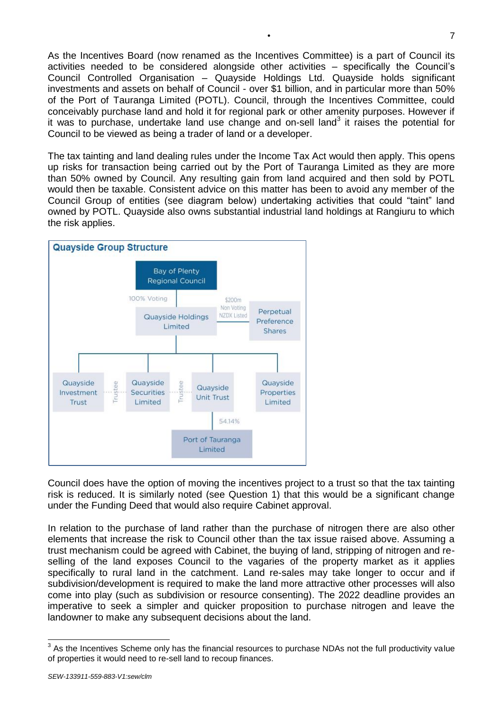As the Incentives Board (now renamed as the Incentives Committee) is a part of Council its activities needed to be considered alongside other activities – specifically the Council's Council Controlled Organisation – Quayside Holdings Ltd. Quayside holds significant investments and assets on behalf of Council - over \$1 billion, and in particular more than 50% of the Port of Tauranga Limited (POTL). Council, through the Incentives Committee, could conceivably purchase land and hold it for regional park or other amenity purposes. However if it was to purchase, undertake land use change and on-sell land<sup>3</sup> it raises the potential for Council to be viewed as being a trader of land or a developer.

The tax tainting and land dealing rules under the Income Tax Act would then apply. This opens up risks for transaction being carried out by the Port of Tauranga Limited as they are more than 50% owned by Council. Any resulting gain from land acquired and then sold by POTL would then be taxable. Consistent advice on this matter has been to avoid any member of the Council Group of entities (see diagram below) undertaking activities that could "taint" land owned by POTL. Quayside also owns substantial industrial land holdings at Rangiuru to which the risk applies.



Council does have the option of moving the incentives project to a trust so that the tax tainting risk is reduced. It is similarly noted (see Question 1) that this would be a significant change under the Funding Deed that would also require Cabinet approval.

In relation to the purchase of land rather than the purchase of nitrogen there are also other elements that increase the risk to Council other than the tax issue raised above. Assuming a trust mechanism could be agreed with Cabinet, the buying of land, stripping of nitrogen and reselling of the land exposes Council to the vagaries of the property market as it applies specifically to rural land in the catchment. Land re-sales may take longer to occur and if subdivision/development is required to make the land more attractive other processes will also come into play (such as subdivision or resource consenting). The 2022 deadline provides an imperative to seek a simpler and quicker proposition to purchase nitrogen and leave the landowner to make any subsequent decisions about the land.

 3 As the Incentives Scheme only has the financial resources to purchase NDAs not the full productivity value of properties it would need to re-sell land to recoup finances.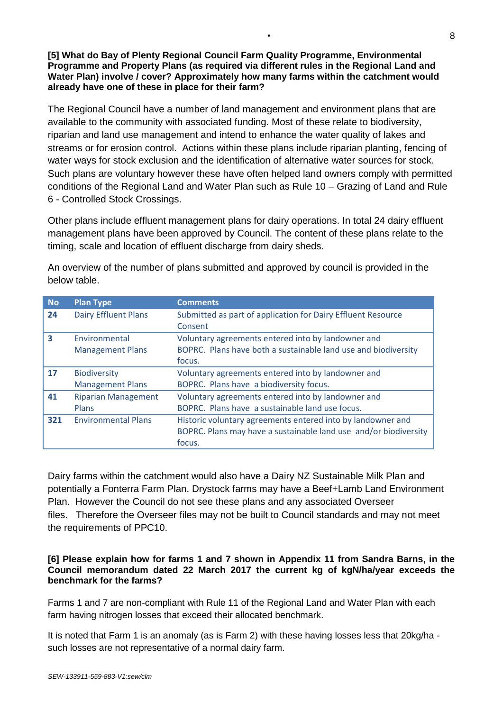**[5] What do Bay of Plenty Regional Council Farm Quality Programme, Environmental Programme and Property Plans (as required via different rules in the Regional Land and Water Plan) involve / cover? Approximately how many farms within the catchment would already have one of these in place for their farm?**

The Regional Council have a number of land management and environment plans that are available to the community with associated funding. Most of these relate to biodiversity, riparian and land use management and intend to enhance the water quality of lakes and streams or for erosion control. Actions within these plans include riparian planting, fencing of water ways for stock exclusion and the identification of alternative water sources for stock. Such plans are voluntary however these have often helped land owners comply with permitted conditions of the Regional Land and Water Plan such as Rule 10 – Grazing of Land and Rule 6 - Controlled Stock Crossings.

Other plans include effluent management plans for dairy operations. In total 24 dairy effluent management plans have been approved by Council. The content of these plans relate to the timing, scale and location of effluent discharge from dairy sheds.

| <b>No</b> | <b>Plan Type</b>                               | <b>Comments</b>                                                                                                                           |
|-----------|------------------------------------------------|-------------------------------------------------------------------------------------------------------------------------------------------|
| 24        | <b>Dairy Effluent Plans</b>                    | Submitted as part of application for Dairy Effluent Resource<br>Consent                                                                   |
| 3         | Environmental<br><b>Management Plans</b>       | Voluntary agreements entered into by landowner and<br>BOPRC. Plans have both a sustainable land use and biodiversity<br>focus.            |
| <b>17</b> | <b>Biodiversity</b><br><b>Management Plans</b> | Voluntary agreements entered into by landowner and<br>BOPRC. Plans have a biodiversity focus.                                             |
| 41        | <b>Riparian Management</b><br>Plans            | Voluntary agreements entered into by landowner and<br>BOPRC. Plans have a sustainable land use focus.                                     |
| 321       | <b>Environmental Plans</b>                     | Historic voluntary agreements entered into by landowner and<br>BOPRC. Plans may have a sustainable land use and/or biodiversity<br>focus. |

An overview of the number of plans submitted and approved by council is provided in the below table.

Dairy farms within the catchment would also have a Dairy NZ Sustainable Milk Plan and potentially a Fonterra Farm Plan. Drystock farms may have a Beef+Lamb Land Environment Plan. However the Council do not see these plans and any associated Overseer files. Therefore the Overseer files may not be built to Council standards and may not meet the requirements of PPC10.

## **[6] Please explain how for farms 1 and 7 shown in Appendix 11 from Sandra Barns, in the Council memorandum dated 22 March 2017 the current kg of kgN/ha/year exceeds the benchmark for the farms?**

Farms 1 and 7 are non-compliant with Rule 11 of the Regional Land and Water Plan with each farm having nitrogen losses that exceed their allocated benchmark.

It is noted that Farm 1 is an anomaly (as is Farm 2) with these having losses less that 20kg/ha such losses are not representative of a normal dairy farm.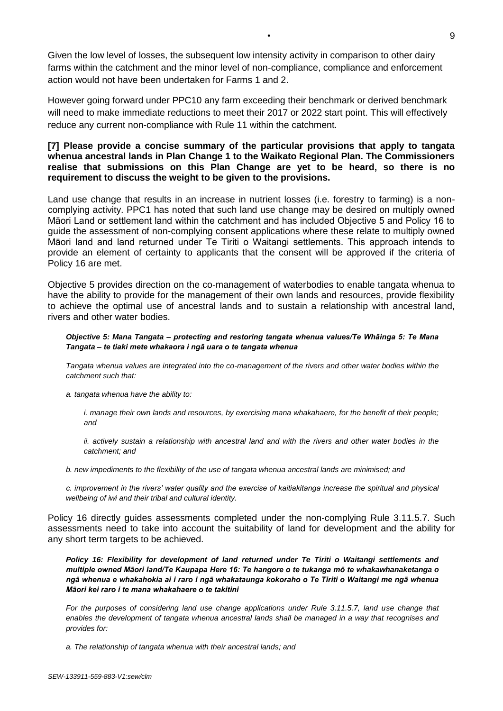Given the low level of losses, the subsequent low intensity activity in comparison to other dairy farms within the catchment and the minor level of non-compliance, compliance and enforcement action would not have been undertaken for Farms 1 and 2.

However going forward under PPC10 any farm exceeding their benchmark or derived benchmark will need to make immediate reductions to meet their 2017 or 2022 start point. This will effectively reduce any current non-compliance with Rule 11 within the catchment.

### **[7] Please provide a concise summary of the particular provisions that apply to tangata whenua ancestral lands in Plan Change 1 to the Waikato Regional Plan. The Commissioners realise that submissions on this Plan Change are yet to be heard, so there is no requirement to discuss the weight to be given to the provisions.**

Land use change that results in an increase in nutrient losses (i.e. forestry to farming) is a noncomplying activity. PPC1 has noted that such land use change may be desired on multiply owned Māori Land or settlement land within the catchment and has included Objective 5 and Policy 16 to guide the assessment of non-complying consent applications where these relate to multiply owned Māori land and land returned under Te Tiriti o Waitangi settlements. This approach intends to provide an element of certainty to applicants that the consent will be approved if the criteria of Policy 16 are met.

Objective 5 provides direction on the co-management of waterbodies to enable tangata whenua to have the ability to provide for the management of their own lands and resources, provide flexibility to achieve the optimal use of ancestral lands and to sustain a relationship with ancestral land, rivers and other water bodies.

#### *Objective 5: Mana Tangata – protecting and restoring tangata whenua values/Te Whāinga 5: Te Mana Tangata – te tiaki mete whakaora i ngā uara o te tangata whenua*

*Tangata whenua values are integrated into the co-management of the rivers and other water bodies within the catchment such that:*

*a. tangata whenua have the ability to:*

*i. manage their own lands and resources, by exercising mana whakahaere, for the benefit of their people; and*

*ii. actively sustain a relationship with ancestral land and with the rivers and other water bodies in the catchment; and*

*b. new impediments to the flexibility of the use of tangata whenua ancestral lands are minimised; and*

*c. improvement in the rivers' water quality and the exercise of kaitiakitanga increase the spiritual and physical wellbeing of iwi and their tribal and cultural identity.*

Policy 16 directly guides assessments completed under the non-complying Rule 3.11.5.7. Such assessments need to take into account the suitability of land for development and the ability for any short term targets to be achieved.

*Policy 16: Flexibility for development of land returned under Te Tiriti o Waitangi settlements and multiple owned Māori land/Te Kaupapa Here 16: Te hangore o te tukanga mō te whakawhanaketanga o ngā whenua e whakahokia ai i raro i ngā whakataunga kokoraho o Te Tiriti o Waitangi me ngā whenua Māori kei raro i te mana whakahaere o te takitini*

*For the purposes of considering land use change applications under Rule 3.11.5.7, land use change that enables the development of tangata whenua ancestral lands shall be managed in a way that recognises and provides for:*

*a. The relationship of tangata whenua with their ancestral lands; and*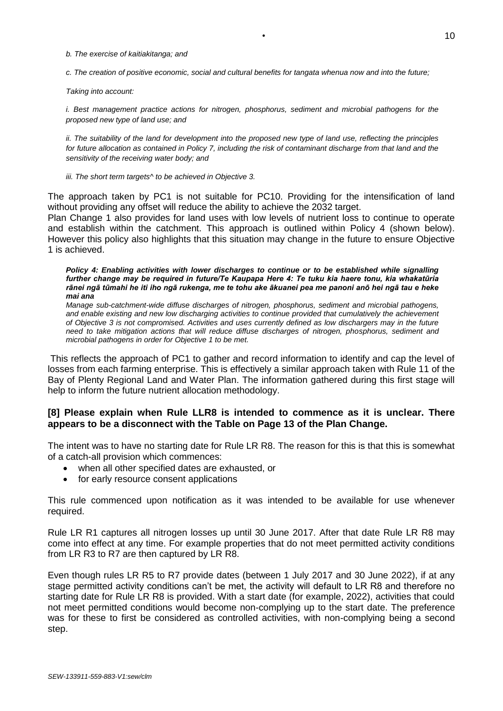*b. The exercise of kaitiakitanga; and*

*c. The creation of positive economic, social and cultural benefits for tangata whenua now and into the future;*

*Taking into account:*

*i. Best management practice actions for nitrogen, phosphorus, sediment and microbial pathogens for the proposed new type of land use; and*

*ii. The suitability of the land for development into the proposed new type of land use, reflecting the principles*  for future allocation as contained in Policy 7, including the risk of contaminant discharge from that land and the *sensitivity of the receiving water body; and*

*iii. The short term targets^ to be achieved in Objective 3.*

The approach taken by PC1 is not suitable for PC10. Providing for the intensification of land without providing any offset will reduce the ability to achieve the 2032 target.

Plan Change 1 also provides for land uses with low levels of nutrient loss to continue to operate and establish within the catchment. This approach is outlined within Policy 4 (shown below). However this policy also highlights that this situation may change in the future to ensure Objective 1 is achieved.

*Policy 4: Enabling activities with lower discharges to continue or to be established while signalling further change may be required in future/Te Kaupapa Here 4: Te tuku kia haere tonu, kia whakatūria rānei ngā tūmahi he iti iho ngā rukenga, me te tohu ake ākuanei pea me panoni anō hei ngā tau e heke mai ana*

*Manage sub-catchment-wide diffuse discharges of nitrogen, phosphorus, sediment and microbial pathogens, and enable existing and new low discharging activities to continue provided that cumulatively the achievement of Objective 3 is not compromised. Activities and uses currently defined as low dischargers may in the future need to take mitigation actions that will reduce diffuse discharges of nitrogen, phosphorus, sediment and microbial pathogens in order for Objective 1 to be met.*

This reflects the approach of PC1 to gather and record information to identify and cap the level of losses from each farming enterprise. This is effectively a similar approach taken with Rule 11 of the Bay of Plenty Regional Land and Water Plan. The information gathered during this first stage will help to inform the future nutrient allocation methodology.

# **[8] Please explain when Rule LLR8 is intended to commence as it is unclear. There appears to be a disconnect with the Table on Page 13 of the Plan Change.**

The intent was to have no starting date for Rule LR R8. The reason for this is that this is somewhat of a catch-all provision which commences:

- when all other specified dates are exhausted, or
- for early resource consent applications

This rule commenced upon notification as it was intended to be available for use whenever required.

Rule LR R1 captures all nitrogen losses up until 30 June 2017. After that date Rule LR R8 may come into effect at any time. For example properties that do not meet permitted activity conditions from LR R3 to R7 are then captured by LR R8.

Even though rules LR R5 to R7 provide dates (between 1 July 2017 and 30 June 2022), if at any stage permitted activity conditions can't be met, the activity will default to LR R8 and therefore no starting date for Rule LR R8 is provided. With a start date (for example, 2022), activities that could not meet permitted conditions would become non-complying up to the start date. The preference was for these to first be considered as controlled activities, with non-complying being a second step.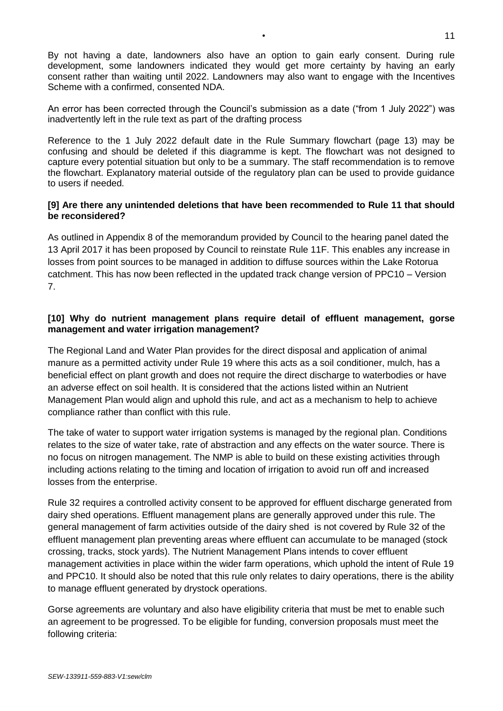By not having a date, landowners also have an option to gain early consent. During rule development, some landowners indicated they would get more certainty by having an early consent rather than waiting until 2022. Landowners may also want to engage with the Incentives Scheme with a confirmed, consented NDA.

An error has been corrected through the Council's submission as a date ("from 1 July 2022") was inadvertently left in the rule text as part of the drafting process

Reference to the 1 July 2022 default date in the Rule Summary flowchart (page 13) may be confusing and should be deleted if this diagramme is kept. The flowchart was not designed to capture every potential situation but only to be a summary. The staff recommendation is to remove the flowchart. Explanatory material outside of the regulatory plan can be used to provide guidance to users if needed.

# **[9] Are there any unintended deletions that have been recommended to Rule 11 that should be reconsidered?**

As outlined in Appendix 8 of the memorandum provided by Council to the hearing panel dated the 13 April 2017 it has been proposed by Council to reinstate Rule 11F. This enables any increase in losses from point sources to be managed in addition to diffuse sources within the Lake Rotorua catchment. This has now been reflected in the updated track change version of PPC10 – Version 7.

# **[10] Why do nutrient management plans require detail of effluent management, gorse management and water irrigation management?**

The Regional Land and Water Plan provides for the direct disposal and application of animal manure as a permitted activity under Rule 19 where this acts as a soil conditioner, mulch, has a beneficial effect on plant growth and does not require the direct discharge to waterbodies or have an adverse effect on soil health. It is considered that the actions listed within an Nutrient Management Plan would align and uphold this rule, and act as a mechanism to help to achieve compliance rather than conflict with this rule.

The take of water to support water irrigation systems is managed by the regional plan. Conditions relates to the size of water take, rate of abstraction and any effects on the water source. There is no focus on nitrogen management. The NMP is able to build on these existing activities through including actions relating to the timing and location of irrigation to avoid run off and increased losses from the enterprise.

Rule 32 requires a controlled activity consent to be approved for effluent discharge generated from dairy shed operations. Effluent management plans are generally approved under this rule. The general management of farm activities outside of the dairy shed is not covered by Rule 32 of the effluent management plan preventing areas where effluent can accumulate to be managed (stock crossing, tracks, stock yards). The Nutrient Management Plans intends to cover effluent management activities in place within the wider farm operations, which uphold the intent of Rule 19 and PPC10. It should also be noted that this rule only relates to dairy operations, there is the ability to manage effluent generated by drystock operations.

Gorse agreements are voluntary and also have eligibility criteria that must be met to enable such an agreement to be progressed. To be eligible for funding, conversion proposals must meet the following criteria: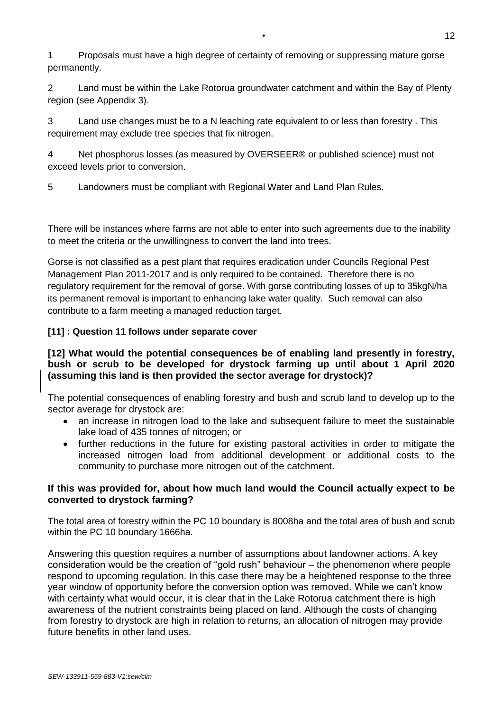1 Proposals must have a high degree of certainty of removing or suppressing mature gorse permanently.

2 Land must be within the Lake Rotorua groundwater catchment and within the Bay of Plenty region (see Appendix 3).

3 Land use changes must be to a N leaching rate equivalent to or less than forestry . This requirement may exclude tree species that fix nitrogen.

4 Net phosphorus losses (as measured by OVERSEER® or published science) must not exceed levels prior to conversion.

5 Landowners must be compliant with Regional Water and Land Plan Rules.

There will be instances where farms are not able to enter into such agreements due to the inability to meet the criteria or the unwillingness to convert the land into trees.

Gorse is not classified as a pest plant that requires eradication under Councils Regional Pest Management Plan 2011-2017 and is only required to be contained. Therefore there is no regulatory requirement for the removal of gorse. With gorse contributing losses of up to 35kgN/ha its permanent removal is important to enhancing lake water quality. Such removal can also contribute to a farm meeting a managed reduction target.

# **[11] : Question 11 follows under separate cover**

# **[12] What would the potential consequences be of enabling land presently in forestry, bush or scrub to be developed for drystock farming up until about 1 April 2020 (assuming this land is then provided the sector average for drystock)?**

The potential consequences of enabling forestry and bush and scrub land to develop up to the sector average for drystock are:

- an increase in nitrogen load to the lake and subsequent failure to meet the sustainable lake load of 435 tonnes of nitrogen; or
- further reductions in the future for existing pastoral activities in order to mitigate the increased nitrogen load from additional development or additional costs to the community to purchase more nitrogen out of the catchment.

# **If this was provided for, about how much land would the Council actually expect to be converted to drystock farming?**

The total area of forestry within the PC 10 boundary is 8008ha and the total area of bush and scrub within the PC 10 boundary 1666ha.

Answering this question requires a number of assumptions about landowner actions. A key consideration would be the creation of "gold rush" behaviour – the phenomenon where people respond to upcoming regulation. In this case there may be a heightened response to the three year window of opportunity before the conversion option was removed. While we can't know with certainty what would occur, it is clear that in the Lake Rotorua catchment there is high awareness of the nutrient constraints being placed on land. Although the costs of changing from forestry to drystock are high in relation to returns, an allocation of nitrogen may provide future benefits in other land uses.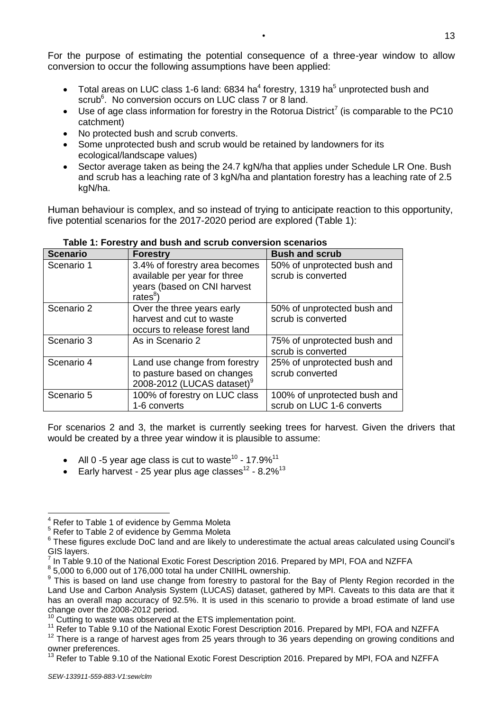For the purpose of estimating the potential consequence of a three-year window to allow conversion to occur the following assumptions have been applied:

- Total areas on LUC class 1-6 land: 6834 ha<sup>4</sup> forestry, 1319 ha<sup>5</sup> unprotected bush and scrub<sup>6</sup>. No conversion occurs on LUC class 7 or 8 land.
- Use of age class information for forestry in the Rotorua District<sup>7</sup> (is comparable to the PC10 catchment)
- No protected bush and scrub converts.
- Some unprotected bush and scrub would be retained by landowners for its ecological/landscape values)
- Sector average taken as being the 24.7 kgN/ha that applies under Schedule LR One. Bush and scrub has a leaching rate of 3 kgN/ha and plantation forestry has a leaching rate of 2.5 kgN/ha.

Human behaviour is complex, and so instead of trying to anticipate reaction to this opportunity, five potential scenarios for the 2017-2020 period are explored (Table 1):

| <b>Scenario</b> | <b>Forestry</b>                                                                                                  | <b>Bush and scrub</b>                                     |
|-----------------|------------------------------------------------------------------------------------------------------------------|-----------------------------------------------------------|
| Scenario 1      | 3.4% of forestry area becomes<br>available per year for three<br>years (based on CNI harvest<br>rates ${}^{8}$ ) | 50% of unprotected bush and<br>scrub is converted         |
| Scenario 2      | Over the three years early<br>harvest and cut to waste<br>occurs to release forest land                          | 50% of unprotected bush and<br>scrub is converted         |
| Scenario 3      | As in Scenario 2                                                                                                 | 75% of unprotected bush and<br>scrub is converted         |
| Scenario 4      | Land use change from forestry<br>to pasture based on changes<br>2008-2012 (LUCAS dataset) <sup>9</sup>           | 25% of unprotected bush and<br>scrub converted            |
| Scenario 5      | 100% of forestry on LUC class<br>1-6 converts                                                                    | 100% of unprotected bush and<br>scrub on LUC 1-6 converts |

**Table 1: Forestry and bush and scrub conversion scenarios**

For scenarios 2 and 3, the market is currently seeking trees for harvest. Given the drivers that would be created by a three year window it is plausible to assume:

- All 0 -5 year age class is cut to waste<sup>10</sup> 17.9%<sup>11</sup>
- Early harvest 25 year plus age classes $12$  8.2% $13$

-

<sup>4</sup> Refer to Table 1 of evidence by Gemma Moleta

<sup>5</sup> Refer to Table 2 of evidence by Gemma Moleta

<sup>&</sup>lt;sup>6</sup> These figures exclude DoC land and are likely to underestimate the actual areas calculated using Council's GIS layers.

<sup>7</sup> In Table 9.10 of the National Exotic Forest Description 2016. Prepared by MPI, FOA and NZFFA

 $8$  5,000 to 6,000 out of 176,000 total ha under CNIIHL ownership.

<sup>&</sup>lt;sup>9</sup> This is based on land use change from forestry to pastoral for the Bay of Plenty Region recorded in the Land Use and Carbon Analysis System (LUCAS) dataset, gathered by MPI. Caveats to this data are that it has an overall map accuracy of 92.5%. It is used in this scenario to provide a broad estimate of land use change over the 2008-2012 period.

Cutting to waste was observed at the ETS implementation point.

<sup>&</sup>lt;sup>11</sup> Refer to Table 9.10 of the National Exotic Forest Description 2016. Prepared by MPI, FOA and NZFFA

 $12$  There is a range of harvest ages from 25 years through to 36 years depending on growing conditions and owner preferences.

<sup>&</sup>lt;sup>13</sup> Refer to Table 9.10 of the National Exotic Forest Description 2016. Prepared by MPI, FOA and NZFFA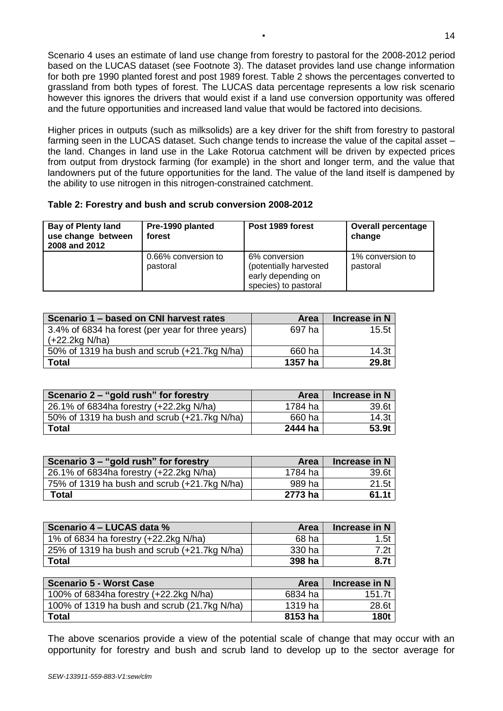Scenario 4 uses an estimate of land use change from forestry to pastoral for the 2008-2012 period based on the LUCAS dataset (see Footnote 3). The dataset provides land use change information for both pre 1990 planted forest and post 1989 forest. Table 2 shows the percentages converted to grassland from both types of forest. The LUCAS data percentage represents a low risk scenario however this ignores the drivers that would exist if a land use conversion opportunity was offered and the future opportunities and increased land value that would be factored into decisions.

Higher prices in outputs (such as milksolids) are a key driver for the shift from forestry to pastoral farming seen in the LUCAS dataset. Such change tends to increase the value of the capital asset – the land. Changes in land use in the Lake Rotorua catchment will be driven by expected prices from output from drystock farming (for example) in the short and longer term, and the value that landowners put of the future opportunities for the land. The value of the land itself is dampened by the ability to use nitrogen in this nitrogen-constrained catchment.

| Table 2: Forestry and bush and scrub conversion 2008-2012 |  |  |
|-----------------------------------------------------------|--|--|
|                                                           |  |  |

| <b>Bay of Plenty land</b><br>use change between<br>2008 and 2012 | Pre-1990 planted<br>forest | Post 1989 forest                                                                      | <b>Overall percentage</b><br>change |
|------------------------------------------------------------------|----------------------------|---------------------------------------------------------------------------------------|-------------------------------------|
| 0.66% conversion to<br>pastoral                                  |                            | 6% conversion<br>(potentially harvested<br>early depending on<br>species) to pastoral | 1% conversion to<br>pastoral        |

| Scenario 1 – based on CNI harvest rates           | Area    | Increase in N |
|---------------------------------------------------|---------|---------------|
| 3.4% of 6834 ha forest (per year for three years) | 697 ha  | 15.5t         |
| $(+22.2kg N/ha)$                                  |         |               |
| 50% of 1319 ha bush and scrub (+21.7kg N/ha)      | 660 ha  | 14.3t         |
| <b>Total</b>                                      | 1357 ha | 29.8t         |

| Scenario 2 – "gold rush" for forestry        | Area    | Increase in N |
|----------------------------------------------|---------|---------------|
| 26.1% of 6834ha forestry (+22.2kg N/ha)      | 1784 ha | 39.6t         |
| 50% of 1319 ha bush and scrub (+21.7kg N/ha) | 660 ha  | 14.3t         |
| Total                                        | 2444 ha | 53.9t         |

| Scenario 3 - "gold rush" for forestry        | <b>Area</b> | Increase in N |
|----------------------------------------------|-------------|---------------|
| 26.1% of 6834ha forestry (+22.2kg N/ha)      | 1784 ha     | 39.6t         |
| 75% of 1319 ha bush and scrub (+21.7kg N/ha) | 989 ha      | 21.5t         |
| Total                                        | 2773 ha     | 61.1t         |

| Scenario 4 – LUCAS data %                    | <b>Area</b> | Increase in N |
|----------------------------------------------|-------------|---------------|
| 1% of 6834 ha forestry (+22.2kg N/ha)        | 68 ha       | 1.5t          |
| 25% of 1319 ha bush and scrub (+21.7kg N/ha) | 330 ha      | 7.2t          |
| <b>Total</b>                                 | 398 ha      | 8.7t          |

| Scenario 5 - Worst Case                      | Area    | Increase in N |
|----------------------------------------------|---------|---------------|
| 100% of 6834ha forestry (+22.2kg N/ha)       | 6834 ha | 151.7t        |
| 100% of 1319 ha bush and scrub (21.7kg N/ha) | 1319 ha | 28.6t         |
| Total                                        | 8153 ha | 180t          |

The above scenarios provide a view of the potential scale of change that may occur with an opportunity for forestry and bush and scrub land to develop up to the sector average for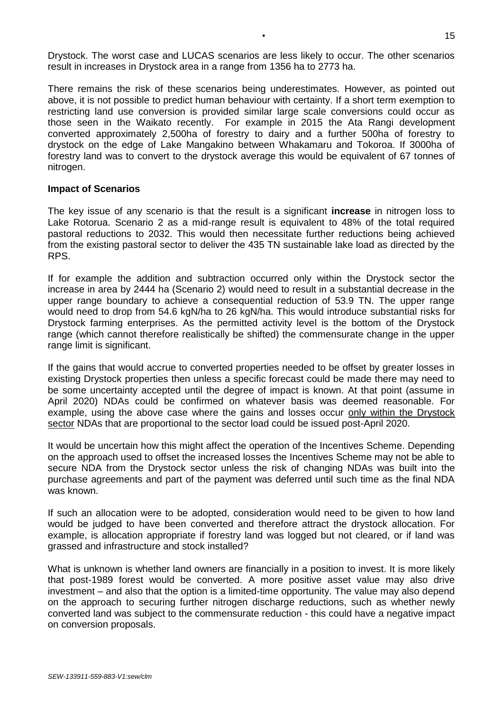Drystock. The worst case and LUCAS scenarios are less likely to occur. The other scenarios result in increases in Drystock area in a range from 1356 ha to 2773 ha.

There remains the risk of these scenarios being underestimates. However, as pointed out above, it is not possible to predict human behaviour with certainty. If a short term exemption to restricting land use conversion is provided similar large scale conversions could occur as those seen in the Waikato recently. For example in 2015 the Ata Rangi development converted approximately 2,500ha of forestry to dairy and a further 500ha of forestry to drystock on the edge of Lake Mangakino between Whakamaru and Tokoroa. If 3000ha of forestry land was to convert to the drystock average this would be equivalent of 67 tonnes of nitrogen.

# **Impact of Scenarios**

The key issue of any scenario is that the result is a significant **increase** in nitrogen loss to Lake Rotorua. Scenario 2 as a mid-range result is equivalent to 48% of the total required pastoral reductions to 2032. This would then necessitate further reductions being achieved from the existing pastoral sector to deliver the 435 TN sustainable lake load as directed by the RPS.

If for example the addition and subtraction occurred only within the Drystock sector the increase in area by 2444 ha (Scenario 2) would need to result in a substantial decrease in the upper range boundary to achieve a consequential reduction of 53.9 TN. The upper range would need to drop from 54.6 kgN/ha to 26 kgN/ha. This would introduce substantial risks for Drystock farming enterprises. As the permitted activity level is the bottom of the Drystock range (which cannot therefore realistically be shifted) the commensurate change in the upper range limit is significant.

If the gains that would accrue to converted properties needed to be offset by greater losses in existing Drystock properties then unless a specific forecast could be made there may need to be some uncertainty accepted until the degree of impact is known. At that point (assume in April 2020) NDAs could be confirmed on whatever basis was deemed reasonable. For example, using the above case where the gains and losses occur only within the Drystock sector NDAs that are proportional to the sector load could be issued post-April 2020.

It would be uncertain how this might affect the operation of the Incentives Scheme. Depending on the approach used to offset the increased losses the Incentives Scheme may not be able to secure NDA from the Drystock sector unless the risk of changing NDAs was built into the purchase agreements and part of the payment was deferred until such time as the final NDA was known.

If such an allocation were to be adopted, consideration would need to be given to how land would be judged to have been converted and therefore attract the drystock allocation. For example, is allocation appropriate if forestry land was logged but not cleared, or if land was grassed and infrastructure and stock installed?

What is unknown is whether land owners are financially in a position to invest. It is more likely that post-1989 forest would be converted. A more positive asset value may also drive investment – and also that the option is a limited-time opportunity. The value may also depend on the approach to securing further nitrogen discharge reductions, such as whether newly converted land was subject to the commensurate reduction - this could have a negative impact on conversion proposals.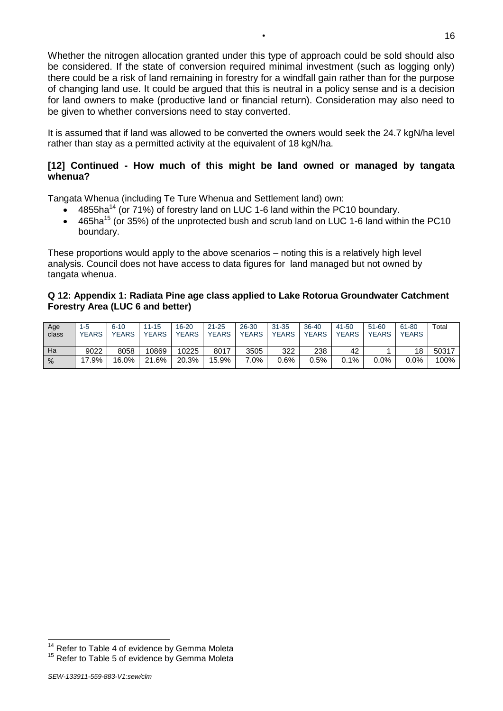Whether the nitrogen allocation granted under this type of approach could be sold should also be considered. If the state of conversion required minimal investment (such as logging only) there could be a risk of land remaining in forestry for a windfall gain rather than for the purpose of changing land use. It could be argued that this is neutral in a policy sense and is a decision for land owners to make (productive land or financial return). Consideration may also need to be given to whether conversions need to stay converted.

It is assumed that if land was allowed to be converted the owners would seek the 24.7 kgN/ha level rather than stay as a permitted activity at the equivalent of 18 kgN/ha.

# **[12] Continued - How much of this might be land owned or managed by tangata whenua?**

Tangata Whenua (including Te Ture Whenua and Settlement land) own:

- 4855ha<sup>14</sup> (or 71%) of forestry land on LUC 1-6 land within the PC10 boundary.
- 465ha<sup>15</sup> (or 35%) of the unprotected bush and scrub land on LUC 1-6 land within the PC10 boundary.

These proportions would apply to the above scenarios – noting this is a relatively high level analysis. Council does not have access to data figures for land managed but not owned by tangata whenua.

# **Q 12: Appendix 1: Radiata Pine age class applied to Lake Rotorua Groundwater Catchment Forestry Area (LUC 6 and better)**

| Age<br>class | $1 - 5$<br>YEARS | $6 - 10$<br><b>YEARS</b> | $11 - 15$<br><b>YEARS</b> | $16 - 20$<br><b>YEARS</b> | $21 - 25$<br><b>YEARS</b> | 26-30<br><b>YEARS</b> | $31 - 35$<br><b>YEARS</b> | 36-40<br><b>YEARS</b> | 41-50<br><b>YEARS</b> | $51 - 60$<br><b>YEARS</b> | 61-80<br><b>YEARS</b> | Total |
|--------------|------------------|--------------------------|---------------------------|---------------------------|---------------------------|-----------------------|---------------------------|-----------------------|-----------------------|---------------------------|-----------------------|-------|
| Ha           | 9022             | 8058                     | 10869                     | 10225                     | 8017                      | 3505                  | 322                       | 238                   | 42                    |                           | 18                    | 50317 |
| %            | 17.9%            | 16.0%                    | 21.6%                     | 20.3%                     | 15.9%                     | $.0\%$                | 0.6%                      | 0.5%                  | $0.1\%$               | 0.0%                      | $0.0\%$               | 100%  |

-

<sup>&</sup>lt;sup>14</sup> Refer to Table 4 of evidence by Gemma Moleta

<sup>&</sup>lt;sup>15</sup> Refer to Table 5 of evidence by Gemma Moleta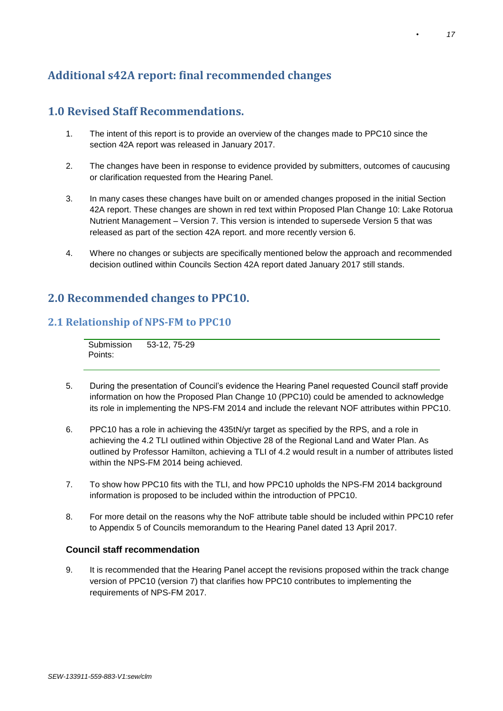# **Additional s42A report: final recommended changes**

# **1.0 Revised Staff Recommendations.**

- 1. The intent of this report is to provide an overview of the changes made to PPC10 since the section 42A report was released in January 2017.
- 2. The changes have been in response to evidence provided by submitters, outcomes of caucusing or clarification requested from the Hearing Panel.
- 3. In many cases these changes have built on or amended changes proposed in the initial Section 42A report. These changes are shown in red text within Proposed Plan Change 10: Lake Rotorua Nutrient Management – Version 7. This version is intended to supersede Version 5 that was released as part of the section 42A report. and more recently version 6.
- 4. Where no changes or subjects are specifically mentioned below the approach and recommended decision outlined within Councils Section 42A report dated January 2017 still stands.

# **2.0 Recommended changes to PPC10.**

# **2.1 Relationship of NPS-FM to PPC10**

**Submission** Points: 53-12, 75-29

- 5. During the presentation of Council's evidence the Hearing Panel requested Council staff provide information on how the Proposed Plan Change 10 (PPC10) could be amended to acknowledge its role in implementing the NPS-FM 2014 and include the relevant NOF attributes within PPC10.
- 6. PPC10 has a role in achieving the 435tN/yr target as specified by the RPS, and a role in achieving the 4.2 TLI outlined within Objective 28 of the Regional Land and Water Plan. As outlined by Professor Hamilton, achieving a TLI of 4.2 would result in a number of attributes listed within the NPS-FM 2014 being achieved.
- 7. To show how PPC10 fits with the TLI, and how PPC10 upholds the NPS-FM 2014 background information is proposed to be included within the introduction of PPC10.
- 8. For more detail on the reasons why the NoF attribute table should be included within PPC10 refer to Appendix 5 of Councils memorandum to the Hearing Panel dated 13 April 2017.

### **Council staff recommendation**

9. It is recommended that the Hearing Panel accept the revisions proposed within the track change version of PPC10 (version 7) that clarifies how PPC10 contributes to implementing the requirements of NPS-FM 2017.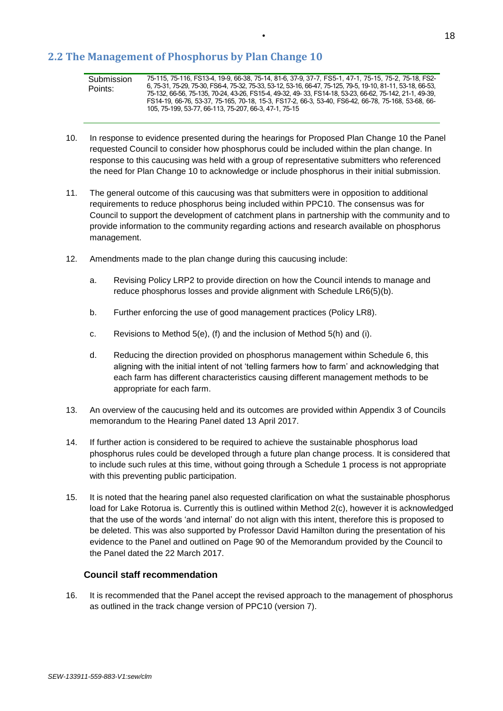# **2.2 The Management of Phosphorus by Plan Change 10**

- 10. In response to evidence presented during the hearings for Proposed Plan Change 10 the Panel requested Council to consider how phosphorus could be included within the plan change. In response to this caucusing was held with a group of representative submitters who referenced the need for Plan Change 10 to acknowledge or include phosphorus in their initial submission.
- 11. The general outcome of this caucusing was that submitters were in opposition to additional requirements to reduce phosphorus being included within PPC10. The consensus was for Council to support the development of catchment plans in partnership with the community and to provide information to the community regarding actions and research available on phosphorus management.
- 12. Amendments made to the plan change during this caucusing include:
	- a. Revising Policy LRP2 to provide direction on how the Council intends to manage and reduce phosphorus losses and provide alignment with Schedule LR6(5)(b).
	- b. Further enforcing the use of good management practices (Policy LR8).
	- c. Revisions to Method 5(e), (f) and the inclusion of Method 5(h) and (i).
	- d. Reducing the direction provided on phosphorus management within Schedule 6, this aligning with the initial intent of not 'telling farmers how to farm' and acknowledging that each farm has different characteristics causing different management methods to be appropriate for each farm.
- 13. An overview of the caucusing held and its outcomes are provided within Appendix 3 of Councils memorandum to the Hearing Panel dated 13 April 2017.
- 14. If further action is considered to be required to achieve the sustainable phosphorus load phosphorus rules could be developed through a future plan change process. It is considered that to include such rules at this time, without going through a Schedule 1 process is not appropriate with this preventing public participation.
- 15. It is noted that the hearing panel also requested clarification on what the sustainable phosphorus load for Lake Rotorua is. Currently this is outlined within Method 2(c), however it is acknowledged that the use of the words 'and internal' do not align with this intent, therefore this is proposed to be deleted. This was also supported by Professor David Hamilton during the presentation of his evidence to the Panel and outlined on Page 90 of the Memorandum provided by the Council to the Panel dated the 22 March 2017.

### **Council staff recommendation**

16. It is recommended that the Panel accept the revised approach to the management of phosphorus as outlined in the track change version of PPC10 (version 7).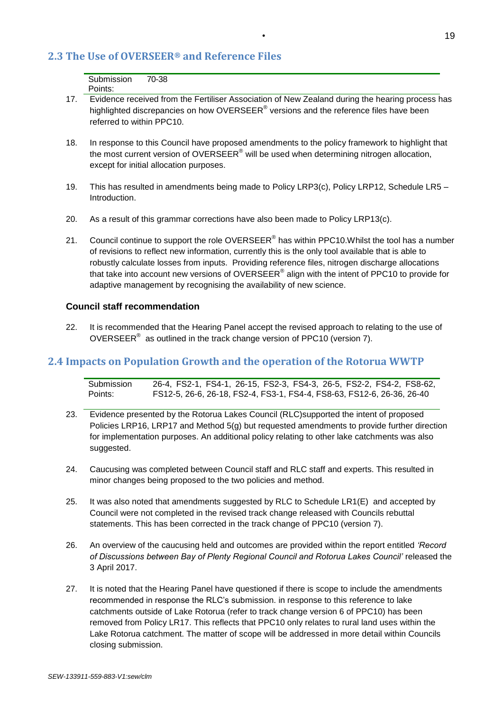# **2.3 The Use of OVERSEER® and Reference Files**

| Submission | 70-38 |
|------------|-------|
| Points:    |       |

- 17. Evidence received from the Fertiliser Association of New Zealand during the hearing process has highlighted discrepancies on how OVERSEER $^{\circledast}$  versions and the reference files have been referred to within PPC10.
- 18. In response to this Council have proposed amendments to the policy framework to highlight that the most current version of OVERSEER<sup>®</sup> will be used when determining nitrogen allocation, except for initial allocation purposes.
- 19. This has resulted in amendments being made to Policy LRP3(c), Policy LRP12, Schedule LR5 Introduction.
- 20. As a result of this grammar corrections have also been made to Policy LRP13(c).
- 21. Council continue to support the role OVERSEER<sup>®</sup> has within PPC10. Whilst the tool has a number of revisions to reflect new information, currently this is the only tool available that is able to robustly calculate losses from inputs. Providing reference files, nitrogen discharge allocations that take into account new versions of OVERSEER® align with the intent of PPC10 to provide for adaptive management by recognising the availability of new science.

### **Council staff recommendation**

22. It is recommended that the Hearing Panel accept the revised approach to relating to the use of OVERSEER $^{\circ}$  as outlined in the track change version of PPC10 (version 7).

# **2.4 Impacts on Population Growth and the operation of the Rotorua WWTP**

| Submission | 26-4, FS2-1, FS4-1, 26-15, FS2-3, FS4-3, 26-5, FS2-2, FS4-2, FS8-62,   |
|------------|------------------------------------------------------------------------|
| Points:    | FS12-5, 26-6, 26-18, FS2-4, FS3-1, FS4-4, FS8-63, FS12-6, 26-36, 26-40 |

- 23. Evidence presented by the Rotorua Lakes Council (RLC)supported the intent of proposed Policies LRP16, LRP17 and Method 5(g) but requested amendments to provide further direction for implementation purposes. An additional policy relating to other lake catchments was also suggested.
- 24. Caucusing was completed between Council staff and RLC staff and experts. This resulted in minor changes being proposed to the two policies and method.
- 25. It was also noted that amendments suggested by RLC to Schedule LR1(E) and accepted by Council were not completed in the revised track change released with Councils rebuttal statements. This has been corrected in the track change of PPC10 (version 7).
- 26. An overview of the caucusing held and outcomes are provided within the report entitled *'Record of Discussions between Bay of Plenty Regional Council and Rotorua Lakes Council'* released the 3 April 2017.
- 27. It is noted that the Hearing Panel have questioned if there is scope to include the amendments recommended in response the RLC's submission. in response to this reference to lake catchments outside of Lake Rotorua (refer to track change version 6 of PPC10) has been removed from Policy LR17. This reflects that PPC10 only relates to rural land uses within the Lake Rotorua catchment. The matter of scope will be addressed in more detail within Councils closing submission.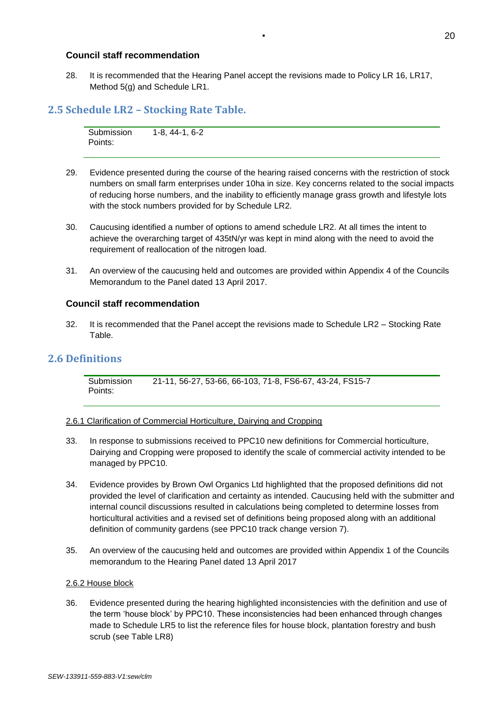### **Council staff recommendation**

28. It is recommended that the Hearing Panel accept the revisions made to Policy LR 16, LR17, Method 5(g) and Schedule LR1.

# **2.5 Schedule LR2 – Stocking Rate Table.**

Submission Points: 1-8, 44-1, 6-2

- 29. Evidence presented during the course of the hearing raised concerns with the restriction of stock numbers on small farm enterprises under 10ha in size. Key concerns related to the social impacts of reducing horse numbers, and the inability to efficiently manage grass growth and lifestyle lots with the stock numbers provided for by Schedule LR2.
- 30. Caucusing identified a number of options to amend schedule LR2. At all times the intent to achieve the overarching target of 435tN/yr was kept in mind along with the need to avoid the requirement of reallocation of the nitrogen load.
- 31. An overview of the caucusing held and outcomes are provided within Appendix 4 of the Councils Memorandum to the Panel dated 13 April 2017.

### **Council staff recommendation**

32. It is recommended that the Panel accept the revisions made to Schedule LR2 – Stocking Rate Table.

# **2.6 Definitions**

**Submission** Points: 21-11, 56-27, 53-66, 66-103, 71-8, FS6-67, 43-24, FS15-7

### 2.6.1 Clarification of Commercial Horticulture, Dairying and Cropping

- 33. In response to submissions received to PPC10 new definitions for Commercial horticulture, Dairying and Cropping were proposed to identify the scale of commercial activity intended to be managed by PPC10.
- 34. Evidence provides by Brown Owl Organics Ltd highlighted that the proposed definitions did not provided the level of clarification and certainty as intended. Caucusing held with the submitter and internal council discussions resulted in calculations being completed to determine losses from horticultural activities and a revised set of definitions being proposed along with an additional definition of community gardens (see PPC10 track change version 7).
- 35. An overview of the caucusing held and outcomes are provided within Appendix 1 of the Councils memorandum to the Hearing Panel dated 13 April 2017

### 2.6.2 House block

36. Evidence presented during the hearing highlighted inconsistencies with the definition and use of the term 'house block' by PPC10. These inconsistencies had been enhanced through changes made to Schedule LR5 to list the reference files for house block, plantation forestry and bush scrub (see Table LR8)